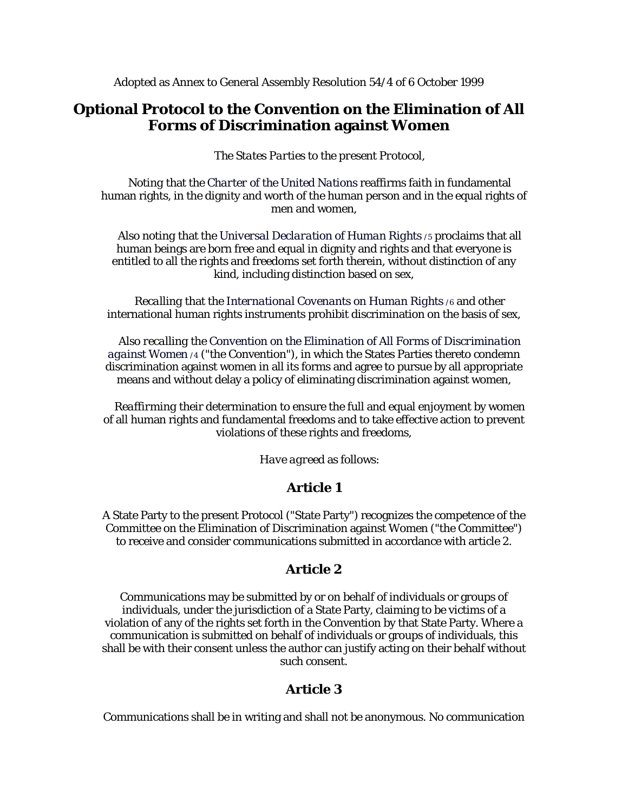Adopted as Annex to General Assembly Resolution 54/4 of 6 October 1999

# **Optional Protocol to the Convention on the Elimination of All Forms of Discrimination against Women**

*The States Parties to the present Protocol*,

*Noting* that the *Charter of the United Nations* reaffirms faith in fundamental human rights, in the dignity and worth of the human person and in the equal rights of men and women,

*Also noting* that the *Universal Declaration of Human Rights /5* proclaims that all human beings are born free and equal in dignity and rights and that everyone is entitled to all the rights and freedoms set forth therein, without distinction of any kind, including distinction based on sex,

*Recalling* that the *International Covenants on Human Rights /6* and other international human rights instruments prohibit discrimination on the basis of sex,

*Also recalling* the *Convention on the Elimination of All Forms of Discrimination against Women /4* ("the Convention"), in which the States Parties thereto condemn discrimination against women in all its forms and agree to pursue by all appropriate means and without delay a policy of eliminating discrimination against women,

*Reaffirming* their determination to ensure the full and equal enjoyment by women of all human rights and fundamental freedoms and to take effective action to prevent violations of these rights and freedoms,

*Have agreed* as follows:

#### **Article 1**

A State Party to the present Protocol ("State Party") recognizes the competence of the Committee on the Elimination of Discrimination against Women ("the Committee") to receive and consider communications submitted in accordance with article 2.

#### **Article 2**

Communications may be submitted by or on behalf of individuals or groups of individuals, under the jurisdiction of a State Party, claiming to be victims of a violation of any of the rights set forth in the Convention by that State Party. Where a communication is submitted on behalf of individuals or groups of individuals, this shall be with their consent unless the author can justify acting on their behalf without such consent.

### **Article 3**

Communications shall be in writing and shall not be anonymous. No communication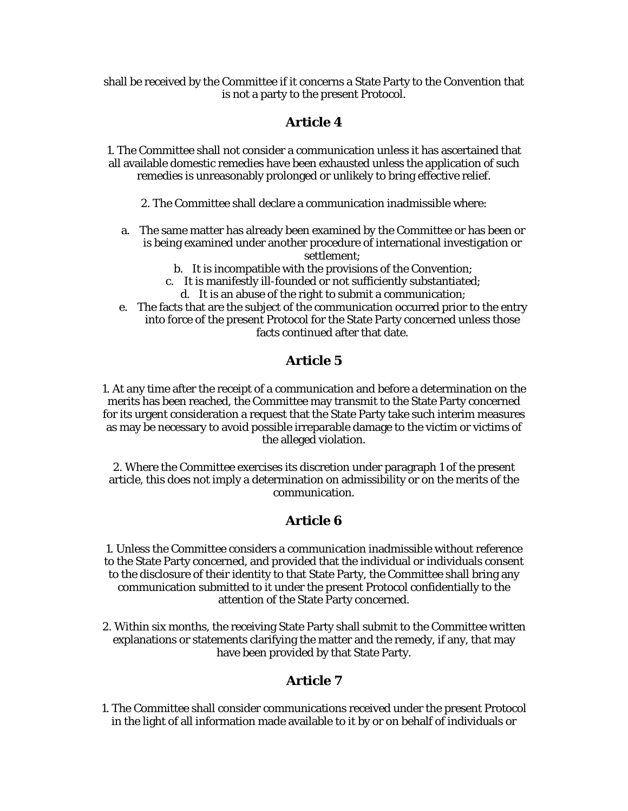shall be received by the Committee if it concerns a State Party to the Convention that is not a party to the present Protocol.

# **Article 4**

1. The Committee shall not consider a communication unless it has ascertained that all available domestic remedies have been exhausted unless the application of such remedies is unreasonably prolonged or unlikely to bring effective relief.

- 2. The Committee shall declare a communication inadmissible where:
- a. The same matter has already been examined by the Committee or has been or is being examined under another procedure of international investigation or settlement;
	- b. It is incompatible with the provisions of the Convention;
	- c. It is manifestly ill-founded or not sufficiently substantiated;
		- d. It is an abuse of the right to submit a communication;
- e. The facts that are the subject of the communication occurred prior to the entry into force of the present Protocol for the State Party concerned unless those facts continued after that date.

# **Article 5**

1. At any time after the receipt of a communication and before a determination on the merits has been reached, the Committee may transmit to the State Party concerned for its urgent consideration a request that the State Party take such interim measures as may be necessary to avoid possible irreparable damage to the victim or victims of the alleged violation.

2. Where the Committee exercises its discretion under paragraph 1 of the present article, this does not imply a determination on admissibility or on the merits of the communication.

# **Article 6**

1. Unless the Committee considers a communication inadmissible without reference to the State Party concerned, and provided that the individual or individuals consent to the disclosure of their identity to that State Party, the Committee shall bring any communication submitted to it under the present Protocol confidentially to the attention of the State Party concerned.

2. Within six months, the receiving State Party shall submit to the Committee written explanations or statements clarifying the matter and the remedy, if any, that may have been provided by that State Party.

# **Article 7**

1. The Committee shall consider communications received under the present Protocol in the light of all information made available to it by or on behalf of individuals or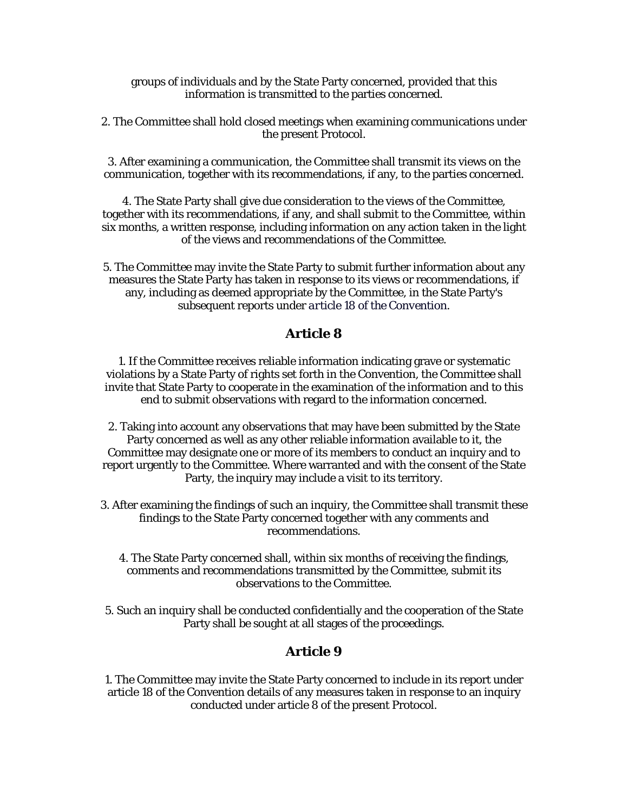groups of individuals and by the State Party concerned, provided that this information is transmitted to the parties concerned.

2. The Committee shall hold closed meetings when examining communications under the present Protocol.

3. After examining a communication, the Committee shall transmit its views on the communication, together with its recommendations, if any, to the parties concerned.

4. The State Party shall give due consideration to the views of the Committee, together with its recommendations, if any, and shall submit to the Committee, within six months, a written response, including information on any action taken in the light of the views and recommendations of the Committee.

5. The Committee may invite the State Party to submit further information about any measures the State Party has taken in response to its views or recommendations, if any, including as deemed appropriate by the Committee, in the State Party's subsequent reports under *article 18 of the Convention*.

#### **Article 8**

1. If the Committee receives reliable information indicating grave or systematic violations by a State Party of rights set forth in the Convention, the Committee shall invite that State Party to cooperate in the examination of the information and to this end to submit observations with regard to the information concerned.

2. Taking into account any observations that may have been submitted by the State Party concerned as well as any other reliable information available to it, the Committee may designate one or more of its members to conduct an inquiry and to report urgently to the Committee. Where warranted and with the consent of the State Party, the inquiry may include a visit to its territory.

3. After examining the findings of such an inquiry, the Committee shall transmit these findings to the State Party concerned together with any comments and recommendations.

4. The State Party concerned shall, within six months of receiving the findings, comments and recommendations transmitted by the Committee, submit its observations to the Committee.

5. Such an inquiry shall be conducted confidentially and the cooperation of the State Party shall be sought at all stages of the proceedings.

#### **Article 9**

1. The Committee may invite the State Party concerned to include in its report under article 18 of the Convention details of any measures taken in response to an inquiry conducted under article 8 of the present Protocol.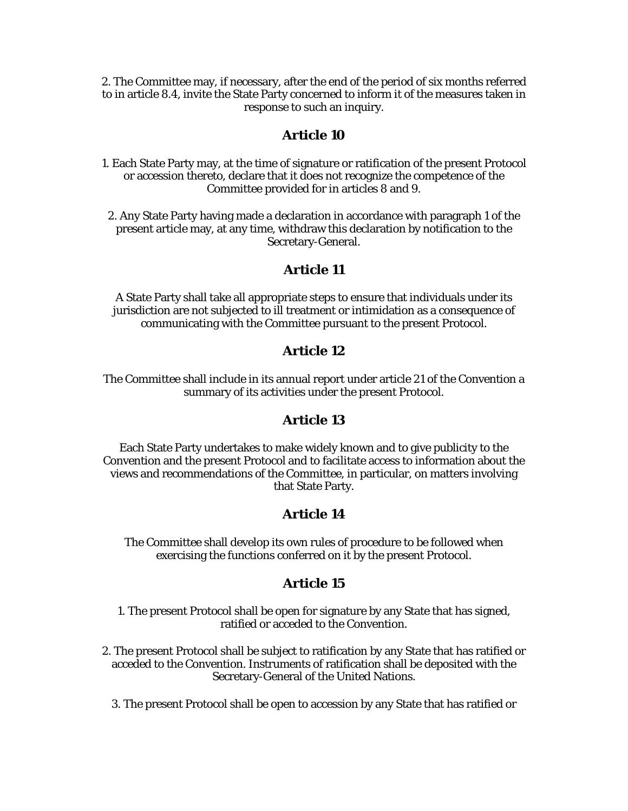2. The Committee may, if necessary, after the end of the period of six months referred to in article 8.4, invite the State Party concerned to inform it of the measures taken in response to such an inquiry.

# **Article 10**

1. Each State Party may, at the time of signature or ratification of the present Protocol or accession thereto, declare that it does not recognize the competence of the Committee provided for in articles 8 and 9.

2. Any State Party having made a declaration in accordance with paragraph 1 of the present article may, at any time, withdraw this declaration by notification to the Secretary-General.

### **Article 11**

A State Party shall take all appropriate steps to ensure that individuals under its jurisdiction are not subjected to ill treatment or intimidation as a consequence of communicating with the Committee pursuant to the present Protocol.

# **Article 12**

The Committee shall include in its annual report under article 21 of the Convention a summary of its activities under the present Protocol.

# **Article 13**

Each State Party undertakes to make widely known and to give publicity to the Convention and the present Protocol and to facilitate access to information about the views and recommendations of the Committee, in particular, on matters involving that State Party.

# **Article 14**

The Committee shall develop its own rules of procedure to be followed when exercising the functions conferred on it by the present Protocol.

# **Article 15**

1. The present Protocol shall be open for signature by any State that has signed, ratified or acceded to the Convention.

2. The present Protocol shall be subject to ratification by any State that has ratified or acceded to the Convention. Instruments of ratification shall be deposited with the Secretary-General of the United Nations.

3. The present Protocol shall be open to accession by any State that has ratified or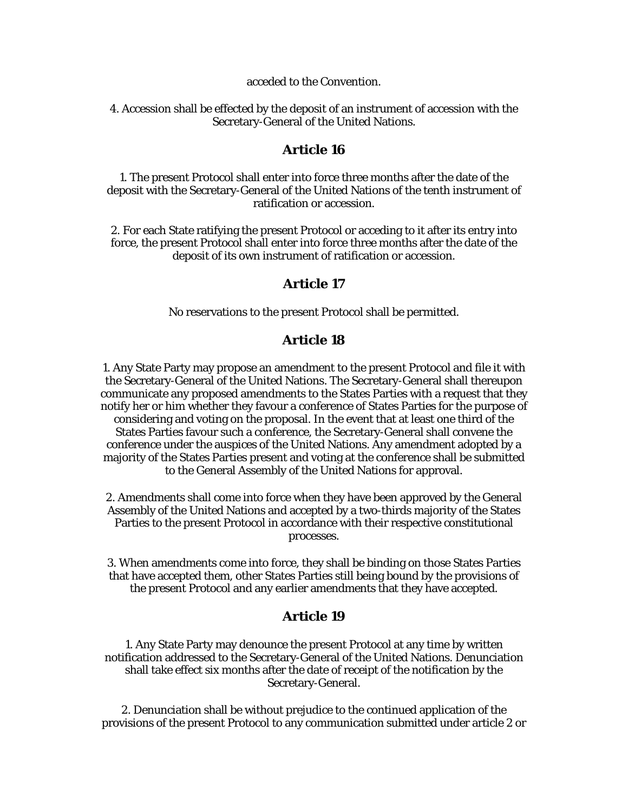acceded to the Convention.

4. Accession shall be effected by the deposit of an instrument of accession with the Secretary-General of the United Nations.

#### **Article 16**

1. The present Protocol shall enter into force three months after the date of the deposit with the Secretary-General of the United Nations of the tenth instrument of ratification or accession.

2. For each State ratifying the present Protocol or acceding to it after its entry into force, the present Protocol shall enter into force three months after the date of the deposit of its own instrument of ratification or accession.

#### **Article 17**

No reservations to the present Protocol shall be permitted.

#### **Article 18**

1. Any State Party may propose an amendment to the present Protocol and file it with the Secretary-General of the United Nations. The Secretary-General shall thereupon communicate any proposed amendments to the States Parties with a request that they notify her or him whether they favour a conference of States Parties for the purpose of considering and voting on the proposal. In the event that at least one third of the States Parties favour such a conference, the Secretary-General shall convene the conference under the auspices of the United Nations. Any amendment adopted by a majority of the States Parties present and voting at the conference shall be submitted to the General Assembly of the United Nations for approval.

2. Amendments shall come into force when they have been approved by the General Assembly of the United Nations and accepted by a two-thirds majority of the States Parties to the present Protocol in accordance with their respective constitutional processes.

3. When amendments come into force, they shall be binding on those States Parties that have accepted them, other States Parties still being bound by the provisions of the present Protocol and any earlier amendments that they have accepted.

### **Article 19**

1. Any State Party may denounce the present Protocol at any time by written notification addressed to the Secretary-General of the United Nations. Denunciation shall take effect six months after the date of receipt of the notification by the Secretary-General.

2. Denunciation shall be without prejudice to the continued application of the provisions of the present Protocol to any communication submitted under article 2 or